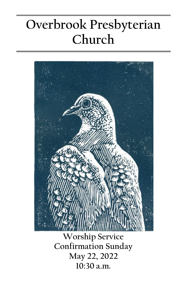# **Overbrook Presbyterian Church**



**Confirmation Sunday May 22, 2022 10:30 a.m.**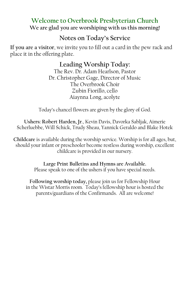# **Welcome to Overbrook Presbyterian Church We are glad you are worshiping with us this morning!**

# **Notes on Today's Service**

**If you are a visitor**, we invite you to fill out a card in the pew rack and place it in the offering plate.

# **Leading Worship Today:**

The Rev. Dr. Adam Hearlson, Pastor Dr. Christopher Gage, Director of Music The Overbrook Choir Zubin Fiorillo, cello Aiaynna Long, acolyte

Today's chancel flowers are given by the glory of God.

**Ushers: Robert Harden, Jr**., Kevin Davis, Davorka Sabljak, Aimerie Scherluebbe, Will Schick, Trudy Sheau, Yannick Geraldo and Blake Hotek

**Childcare** is available during the worship service. Worship is for all ages, but, should your infant or preschooler become restless during worship, excellent childcare is provided in our nursery.

> **Large Print Bulletins and Hymns are Available.** Please speak to one of the ushers if you have special needs.

**Following worship today,** please join us for Fellowship Hour in the Wistar Morris room. Today's fellowship hour is hosted the parents/guardians of the Confirmands. All are welcome!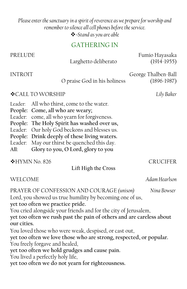## *Please enter the sanctuary in a spirit of reverence as we prepare for worship and remember to silence all cell phones before the service. =Stand as you are able*

# GATHERING IN

| PRELUDE                                                                                                                                                                                                                                                                                                                                                                                                                                                                                                                                                                                                                      | Larghetto deliberato                                                                                                                                                                                                                                                                                        | Fumio Hayasaka<br>$(1914-1955)$        |
|------------------------------------------------------------------------------------------------------------------------------------------------------------------------------------------------------------------------------------------------------------------------------------------------------------------------------------------------------------------------------------------------------------------------------------------------------------------------------------------------------------------------------------------------------------------------------------------------------------------------------|-------------------------------------------------------------------------------------------------------------------------------------------------------------------------------------------------------------------------------------------------------------------------------------------------------------|----------------------------------------|
| <b>INTROIT</b>                                                                                                                                                                                                                                                                                                                                                                                                                                                                                                                                                                                                               | O praise God in his holiness                                                                                                                                                                                                                                                                                | George Thalben-Ball<br>$(1896 - 1987)$ |
| ❖ CALL TO WORSHIP<br>Lily Baker                                                                                                                                                                                                                                                                                                                                                                                                                                                                                                                                                                                              |                                                                                                                                                                                                                                                                                                             |                                        |
| Leader:<br>People:<br>Leader:<br>People:<br>Leader:<br>People:<br>Leader:<br>All:                                                                                                                                                                                                                                                                                                                                                                                                                                                                                                                                            | All who thirst, come to the water.<br>Come, all who are weary;<br>come, all who yearn for forgiveness.<br>The Holy Spirit has washed over us,<br>Our holy God beckons and blesses us.<br>Drink deeply of these living waters.<br>May our thirst be quenched this day.<br>Glory to you, O Lord, glory to you |                                        |
| <b>◆HYMN No. 826</b><br><b>CRUCIFER</b><br>Lift High the Cross                                                                                                                                                                                                                                                                                                                                                                                                                                                                                                                                                               |                                                                                                                                                                                                                                                                                                             |                                        |
|                                                                                                                                                                                                                                                                                                                                                                                                                                                                                                                                                                                                                              |                                                                                                                                                                                                                                                                                                             |                                        |
| WELCOME                                                                                                                                                                                                                                                                                                                                                                                                                                                                                                                                                                                                                      |                                                                                                                                                                                                                                                                                                             | Adam Hearlson                          |
| PRAYER OF CONFESSION AND COURAGE (unison)<br>Nina Bowser<br>Lord, you showed us true humility by becoming one of us,<br>yet too often we practice pride.<br>You cried alongside your friends and for the city of Jerusalem,<br>yet too often we rush past the pain of others and are careless about<br>our cities.<br>You loved those who were weak, despised, or cast out,<br>yet too often we love those who are strong, respected, or popular.<br>You freely forgave and healed,<br>yet too often we hold grudges and cause pain.<br>You lived a perfectly holy life,<br>yet too often we do not yearn for righteousness. |                                                                                                                                                                                                                                                                                                             |                                        |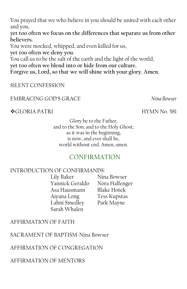You prayed that we who believe in you should be united with each other and you,

**yet too often we focus on the differences that separate us from other believers.**

You were mocked, whipped, and even killed for us, **yet too often we deny you.**

You call us to be the salt of the earth and the light of the world, **yet too often we blend into or hide from our culture. Forgive us, Lord, so that we will shine with your glory. Amen.**

# SILENT CONFESSION

#### EMBRACING GOD'S GRACE *Nina Bowser*

#### GLORIA PATRI HYMN No. 581

Glory be to the Father, and to the Son, and to the Holy Ghost; as it was in the beginning, is now, and ever shall be, world without end. Amen, amen.

# CONFIRMATION

#### INTRODUCTION OF CONFIRMANDS:

Lily Baker Nina Bowser Yannick Geraldo Nora Halfenger Asa Hausmann Blake Hotek Aiyana Long Tess Kupstas Lahni Smedley Park Mayne Sarah Whalen

# AFFIRMATION OF FAITH

SACRAMENT OF BAPTISM-Nina Bowser

# AFFIRMATION OF CONGREGATION

AFFIRMATION OF MENTORS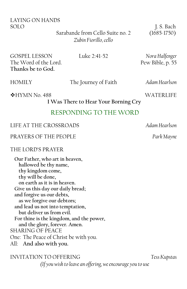LAYING ON HANDS SOLO J. S. Bach

> Sarabande from Cello Suite no. 2 (1685-1750) *Zubin Fiorillo, cello*

GOSPEL LESSON Luke 2:41-52 *Nora Halfenger* The Word of the Lord. Pew Bible, p. 55 **Thanks be to God.**

HOMILY The Journey of Faith *Adam Hearlson*

◆HYMN No. 488 WATERLIFE

**I Was There to Hear Your Borning Cry**

# RESPONDING TO THE WORD

LIFE AT THE CROSSROADS *Adam Hearlson*

PRAYERS OF THE PEOPLE *Park Mayne*

#### THE LORD'S PRAYER

**Our Father, who art in heaven, hallowed be thy name, thy kingdom come, thy will be done, on earth as it is in heaven. Give us this day our daily bread; and forgive us our debts, as we forgive our debtors; and lead us not into temptation, but deliver us from evil. For thine is the kingdom, and the power, and the glory, forever. Amen.** SHARING OF PEACE One: The Peace of Christ be with you. All: **And also with you.**

INVITATION TO OFFERING *Tess Kupstas (If you wish to leave an offering, we encourage you to use*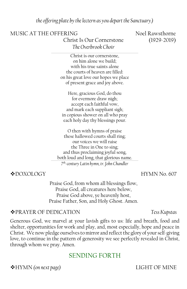*the offering plate by the lectern as you depart the Sanctuary.)*

#### MUSIC AT THE OFFERING Noel Rawsthorne

Christ Is Our Cornerstone (1929-2019) *The Overbrook Choir*

Christ is our cornerstone, on him alone we build; with his true saints alone the courts of heaven are filled: on his great love our hopes we place of present grace and joy above.

Here, gracious God, do thou for evermore draw nigh; accept each faithful vow, and mark each suppliant sigh; in copious shower on all who pray each holy day thy blessings pour.

O then with hymns of praise these hallowed courts shall ring; our voices we will raise the Three in One to sing; and thus proclaiming joyful song, both loud and long, that glorious name. *7th-century Latin hymn, tr. John Chandler*

◆ DOXOLOGY NOTE: NOTE: NOTE: NOTE: NOTE: NOTE: NOTE: NOTE: NOTE: NOTE: NOTE: NOTE: NOTE: NOTE: NOTE: NOTE: NOTE: NOTE: NOTE: NOTE: NOTE: NOTE: NOTE: NOTE: NOTE: NOTE: NOTE: NOTE: NOTE: NOTE: NOTE: NOTE: NOTE: NOTE: NOTE:

Praise God, from whom all blessings flow, Praise God, all creatures here below, Praise God above, ye heavenly host, Praise Father, Son, and Holy Ghost. Amen.

#### PRAYER OF DEDICATION *Tess Kupstas*

Generous God, we marvel at your lavish gifts to us: life and breath, food and shelter, opportunities for work and play, and, most especially, hope and peace in Christ. We now pledge ourselves to mirror and reflect the glory of your self-giving love, to continue in the pattern of generosity we see perfectly revealed in Christ, through whom we pray. Amen.

# SENDING FORTH

HYMN *(on next page)* LIGHT OF MINE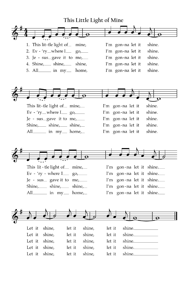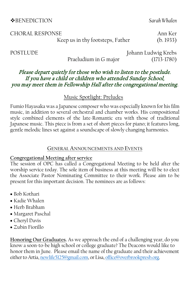#### BENEDICTION *Sarah Whalen*

CHORAL RESPONSE Annexe announced a communication of the contract of the contract of the contract of the contract of the contract of the contract of the contract of the contract of the contract of the contract of the contra Keep us in thy footsteps, Father (b. 1933)

#### Please depart quietly for those who wish to listen to the postlude. If you have a child or children who attended Sunday School, you may meet them in Fellowship Hall after the congregational meeting.

#### Music Spotlight: Preludes

Fumio Hayasaka was a Japanese composer who was especially known for his film music, in addition to several orchestral and chamber works. His compositional style combined elements of the late-Romantic era with those of traditional Japanese music. This piece is from a set of short pieces for piano; it features long, gentle melodic lines set against a soundscape of slowly changing harmonies.

#### **GENERAL ANNOUNCEMENTS AND EVENTS**

#### **Congregational Meeting after service**

The session of OPC has called a Congregational Meeting to be held after the worship service today. The sole item of business at this meeting will be to elect the Associate Pastor Nominating Committee to their work. Please aim to be present for this important decision. The nominees are as follows:

- Bob Kothari
- Kadie Whalen
- Herb Brabham
- Margaret Paschal
- Cheryl Davis
- Zubin Fiorillo

**Honoring Our Graduates.** As we approach the end of a challenging year, do you know a soon-to-be high school or college graduate? The Deacons would like to honor them in June. Please email the name of the graduate and their achievement either to Artia[, newlife5125@gmail.com,](mailto:newlife5125@gmail.com) or Lisa[, office@overbrookpresb.org.](mailto:office@overbrookpresb.org)

POSTLUDE Johann Ludwig Krebs Praeludium in G major (1713-1780)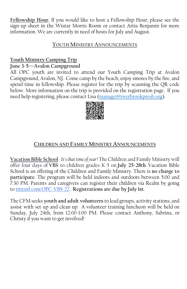**Fellowship Hour.** If you would like to host a Fellowship Hour, please see the sign-up sheet in the Wistar Morris Room or contact Artia Benjamin for more information. We are currently in need of hosts for July and August.

#### **YOUTH MINISTRY ANNOUNCEMENTS**

# **Youth Ministry Camping Trip**

### **June 3-5—Avalon Campground**

All OPC youth are invited to attend our Youth Camping Trip at Avalon Campground, Avalon, NJ. Come camp by the beach, enjoy smores by the fire, and spend time in fellowship. Please register for the trip by scanning the QR code below. More information on the trip is provided on the registration page. If you need help registering, please contact Lisa (manager@overbrookpresb.org).



# **CHILDREN AND FAMILY MINISTRY ANNOUNCEMENTS**

**Vacation Bible School** *- It's that time of year!* The Children and Family Ministry will offer four days of **VBS** to children grades K-5 on **July 25-28th**. Vacation Bible School is an offering of the Children and Family Ministry. There is **no charge to participate**. The program will be held indoors and outdoors between 5:00 and 7:30 PM. Parents and caregivers can register their children via Realm by going to [tinyurl.com/OPC-VBS-22](https://tinyurl.com/OPC-VBS-22) . **Registrations are due by July 1st**.

The CFM seeks **youth and adult volunteers** to lead groups, activity stations, and assist with set up and clean up. A volunteer training luncheon will be held on Sunday, July 24th, from 12:00-1:00 PM. Please contact Anthony, Sabrina, or Christy if you want to get involved!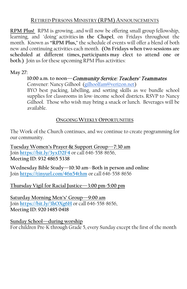#### **RETIRED PERSONS MINISTRY (RPM) ANNOUNCEMENTS**

**RPM Plus!** RPM is growing...and will now be offering small group fellowship, learning, and "doing" activities **in the Chapel**, on Fridays throughout the month. Known as **"RPM Plus,**" the schedule of events will offer a blend of both new and continuing activities each month. **(On Fridays when two sessions are scheduled at different times, participants may elect to attend one or both.)** Join us for these upcoming RPM Plus activities:

**May 27:** 

**10:00 a.m. to noon—**Community Service: Teachers' Teammates. Convener: Nancy Gilhool [\(gilhoolfam@verizon.net\)](mailto:gilhoolfam@verizon.net)

BYO best packing, labelling, and sorting skills as we bundle school supplies for classrooms in low-income school districts. RSVP to Nancy Gilhool. Those who wish may bring a snack or lunch. Beverages will be available.

#### **ONGOING WEEKLY OPPORTUNITIES**

The Work of the Church continues, and we continue to create programming for our community.

**Tuesday Women's Prayer & Support Group—7:30 am** Join **<https://bit.ly/3yxD2F4>** or call 646-558-8656, **Meeting ID: 932 4865 5338**

**Wednesday Bible Study—10:30 am--Both in person and online** Join **<https://tinyurl.com/46n54thm>** or call 646-558-8656

#### **Thursday Vigil for Racial Justice—3:00 pm-5:00 pm**

**Saturday Morning Men's' Group—9:00 am** Join **<https://bit.ly/3hOXg6H>** or call 646-558-8656, **Meeting ID: 920 1485 0418**

**Sunday School—during worship** For children Pre-K through Grade 5, every Sunday except the first of the month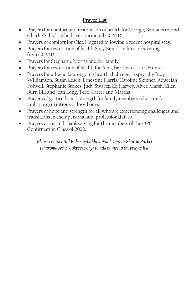### **Prayer List**

- Prayers for comfort and restoration of health for George, Bernadette, and Charlie Schick, who have contracted COVID.
- Prayers of comfort for Olga Hoggard following a recent hospital stay.
- Prayers for restoration of health Susy Brandt, who is recovering from COVID.
- Prayers for Stephanie Morris and her family.
- Prayers for restoration of health for Alan, brother of Terri Hunter.
- Prayers for all who face ongoing health challenges, especially Judy Williamson, Susan Leach, Ernestine Harris, Caroline Skinner, Aqueelah Folwell, Stephanie Stokes, Judy Swartz, Ed Harvey, Alyce Marsh, Ellen Burr, Bill and Jean Long, Terri Carter and Martha.
- Prayers of gratitude and strength for family members who care for multiple generations of loved ones.
- Prayers of hope and strength for all who are experiencing challenges and transitions in their personal and professional lives.
- Prayers of joy and thanksgiving for the members of the OPC Confirmation Class of 2022.

*Please contact Bill Baker (wbaklava@aol.com) or Sharon Parker [\(sharon@overbrookpresb.org\)](mailto:sharon@overbrookpresb.org) to add names to the prayer list.*